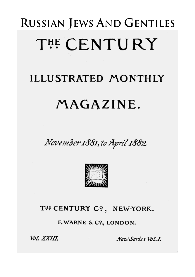# **RUSSIAN JEWS AND GENTILES**THE CENTURY

# ILLUSTRATED MONTHLY

## MAGAZINE.

November 1881, to April 1882



### THE CENTURY Cº, NEW-YORK.

F. WARNE & Cº, LONDON.

Vol. XXIII.

New Series Vol. I.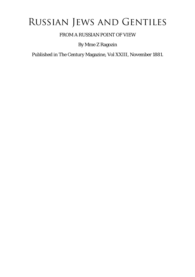### Russian Jews and Gentiles

FROM A RUSSIAN POINT OF VIEW

By Mme Z Ragozin

Published in The Century Magazine, Vol XXIII, November 1881.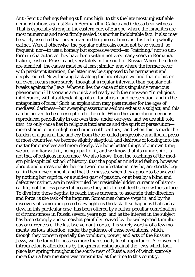Anti-Semitic feelings feeling still runs high: to this the late most unjustifiable demonstrations against Sarah Bernhardt in Galicia and Odessa bear witness. That is especially strong in the eastern part of Europe, where the Israelites are most numerous and most firmly sealed, is another indubitable fact. It also may be safely asserted that never, even in the quietest times, is this feeling wholly extinct. Were it otherwise, the popular outbreaks could not be so violent, so frequent, nor—to use a homely but expressive word—so "catching," nor so uniform in character, as they have been within not very many years in Romania, Galicia, eastern Prussia and, very lately in the south of Russia. When the effects are identical, the causes must be at least similar, and where the former recur with persistent iteration, the latter may be supposed to be permanent and deeply rooted. Now, looking back along the line of ages we find that no historical event recurs more surely, though at irregular intervals, than popular outbreaks against the Jews. Wherein lies the cause of this singularly tenacious phenomenon? Historians are quick and ready with their answer: "In religious intolerance, with its attendant spirits of fanaticism and persecution, and in the antagonism of race." Such an explanation may pass muster for the ages of mediæval darkness—but sweeping assertions seldom exhaust a subject, and this can be proved to be no exception to the rule. When the same phenomenon is reproduced periodically in our own time, under our eyes, and we are still told that "its only cause lies in religious intolerance and the spirit of persecution more shame to our enlightened nineteenth century," and when this is made the burden of a general hue and cry from the so-called progressive and liberal press of most countries, we become slightly skeptical, and desirous of looking into the matter for ourselves and more closely. We hope better things of our own time; we are familiar with it, being a part of it, and we know that its ruling spirit is not that of religious intolerance. We also know, from the teachings of the modern philosophical school of history, that the popular mind and feeling, however abrupt and unreasonable their outward manifestations may be, are strictly logical in their development, and that the masses, when they appear to be swayed by nothing but caprice, or a sudden gust of passion, or at best by a blind and defective instinct, are in reality ruled by irresistible hidden currents of historical life, not the less powerful because they act at great depths below the surface. To dive into those depths, to reach those currents, to ascertain their direction and force, is the task of the inquirer. Sometimes chance steps in, and by the discovery of some unexpected clew lightens the task. It so happens that such a clew, in this particular case, has been offered by a rather peculiar combination of circumstances in Russia several years ago, and as the interest in the subject has been strongly and somewhat painfully revived by the widespread tumultuous occurrences of the last twelvemonth or so, it is surely worthy of a few moments' serious attention, under the guidance of these revelations, which, though they concern specially the condition, power, and acts of the Russian Jews, will be found to possess more than strictly local importance. A convenient introduction is afforded us by the general rising against the Jews which took place last spring throughout the south-west of Russia, and of winch scarcely more than a bare mention was transmitted at the time to this country.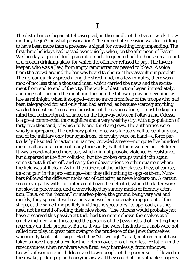The disturbances began at Ielizavetgrad, in the middle of the Easter week. How did they begin? On what provocation? The immediate occasion was too trifling to have been more than a pretense, a signal for something long impending. The first three holidays had passed over quietly, when, on the afternoon of Easter Wednesday, a quarrel took place at a much-frequented public-house on account of a broken drinking-glass, for which the offender refused to pay. The tavernkeeper, who was a Jew, from angry remonstrances passed to blows. A voice from the crowd around the bar was heard to shout: "They assault our people!" The uproar quickly spread along the street, and, in a few minutes, there was a mob of not less than a thousand men, which carried the news and the excitement from end to end of the city. The work of destruction began immediately, and raged all through the night and through the following day and evening, as late as midnight, when it stopped—not so much from fear of the troops who had been telegraphed for and only then had arrived, as because scarcely anything was left to destroy. To realize the extent of the ravages done, it must be kept in mind that Ielizavetgrad, situated on the highway between Poltava and Odessa, is a great commercial thoroughfare and a very wealthy city, with a population of forty-five thousand, of which fully one-third are Jews. The authorities were wholly unprepared. The ordinary police force was far too small to be of any use, and of the military only four squadrons, of cavalry were on hand—a force particularly ill-suited for action in narrow, crowded streets—not quite five hundred men in all against a mob of many thousands, half of them women and children. It was a good-natured mob, too, which did not provoke violence by resistance, but dispersed at the first collision; but the broken groups would join again some streets further off, and carry their devastations to other quarters where the field was still clear. As for the citizens of the better classes, they, of course, took no part in the proceedings,—but they did nothing to oppose them. Numbers followed the different mobs out of curiosity, as mere lookers-on. A certain secret sympathy with the rioters could even be detected, which the latter were not slow in perceiving, and acknowledged by sundry marks of friendly attention. Thus, on the "bazaar," or market-place, the ground being very wet and muddy, they spread it with carpets and woolen materials dragged out of the shops, at the same time politely inviting the spectators "to approach, as they need not lie afraid of soiling their nice shoes." The citizens would probably not have preserved this passive attitude had the rioters shown themselves at all cruelly inclined, and threatened the persons of the Jews instead of venting their rage only on their property. But, as it was, the worst instincts of a mob were not called into play, in great part owing to the prudence of the Jews themselves, who mostly kept out of sight. Had they "shown fight" at all, matters might have taken a more tragical turn, for the rioters gave signs of manifest irritation in the rare instances when revolvers were fired, very harmlessly, from windows. Crowds of women and children, and townspeople of the poorer sort, followed in their wake, picking up and carrying away all they could of the valuable property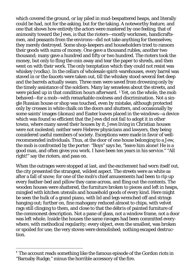which covered the ground, or lay piled in mud-bespattered heaps, and literally could be had, not for the asking, but for the taking. A noteworthy feature, and one that shows how entirely the actors were mastered by one feeling, that of animosity toward the Jews, is that the rioters—mostly workmen, handicraftsmen, and peasants from the environs—did not take anything for themselves; they merely destroyed. Some shop-keepers and householders tried to ransom their goods with sums of money. One gave a thousand rubles, another two thousand; many gave a hundred and fifty or two hundred. The rioters took the money, but only to fling the coin away and tear the paper to shreds, and then went on with their work. The only temptation which they could not resist was whiskey *(vodka)*. In the cellars of wholesale spirit-warehouses, every barrel was staved in or the faucets were taken out, till the whiskey stood several feet deep and the barrels actually swam. Three men were saved from drowning only by the timely assistance of the soldiers. Many lay senseless about the streets, and were picked up in that condition hours afterward. [1](#page-5-0) Yet, on the whole, the mob behaved—for a mob—with remarkable coolness and discrimination. Not a single Russian house or shop was touched, even by mistake, although protected only by crosses in white chalk on the doors and shutters, and occasionally by some saints' images *(ikonas)* and Easter loaves placed in the windows—a device which was found so efficient that the Jews did not fail to adopt it in other towns, where many saved their houses by it. Jews living in Christian houses were not molested; neither were Hebrew physicians and lawyers, they being considered useful members of society. Exceptions were made in favor of wellrecommended individuals. Thus, at the door of one house belonging to a Jew, the mob is confronted by the porter: "Boys" says he, "leave him alone! He is a good man, and often gives you work. I have been ten years in his service." "All right!" say the rioters, and pass on.

When the outrages were stopped at last, and the excitement had worn itself out, the city presented the strangest, wildest aspect. The streets were as white as after a fall of snow; for one of the mob's chief amusements had been to rip up every feather-bed and pillow they came across, and fling out the contents. The wooden houses were shattered, the furniture broken to pieces and left in heaps, mingled with kitchen utensils and household goods of every kind. Here might be seen the hulk of a grand piano, with lid and legs wrenched off and strings hanging out; further on, fine mahogany reduced almost to chips, with velvet rags still clinging to them, and close to that the *débris* of painted furniture of the commonest description. Not a pane of glass, not a window frame, not a door was left whole. Inside the houses the same ravages had been committed everywhere, with methodical regularity; every object, even the smallest, was broken or spoiled for use; the very stoves were demolished; nothing escaped destruction.

<span id="page-5-0"></span>**<sup>1</sup>** The account reads something like the famous episode of the Gordon riots in "Barnaby Rudge," minus the horrible accessory of the fire.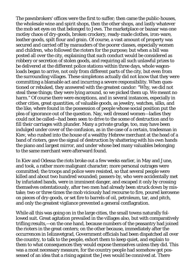The pawnbrokers' offices were the first to suffer; then came the public-houses, the wholesale wine and spirit shops, then the other shops, and lastly whatever the mob set eyes on that belonged to Jews. The marketplace or bazaar was one motley chaos of dry-goods, broken crockery, ready-made clothes, iron-ware, leather goods, spilt flour and grain. Of course, a vast amount of property was secured and carried off by marauders of the poorer classes, especially women and children, who followed the rioters for the purpose; but when a bill was posted all over the city, explaining that such conduct would be considered as robbery or secretion of stolen goods, and requiring all such unlawful prizes to be delivered at the different police stations within three days, whole wagonloads began to arrive, not only from different parts of the city, but even from the surrounding villages. These simpletons actually did not know that they were committing a blamable act and incurring a severe responsibility. When questioned or rebuked, they answered with the greatest candor: "Why, we did not steal these things; they were lying around, so we picked them up. We meant no harm." Of course there were exceptions, and in several instances, especially in other cities, great quantities, of valuable goods, as jewelry, watches, silks, and the like, where found in the possession of people whose social position put the plea of ignorance out of the question. Nay, well dressed women—ladies they could not be called—had been seen to drive to the scene of destruction and to fill their carriages with plunder. Many a private grudge, too, may have been indulged under cover of the confusion, as in the case of a certain, tradesman in Kiev, who rushed into the house of a wealthy Hebrew merchant at the head of a band of rioters, gave the signal of destruction by shattering with his own hands the piano and largest mirror, and under whose bed many valuables belonging to the same merchant were afterward found.

In Kiev and Odessa the riots broke out a few weeks earlier, in May and June, and took, a rather more malignant character; more personal outrages were committed; the troops and police were resisted, so that several people were killed and about two hundred wounded; passers-by, who were accidentally met by infuriated bands, were in imminent danger, and escaped it only by crossing themselves ostentatiously, after two men had already been struck down by mistake; two or three times the mob viciously had recourse to fire, poured kerosene on pieces of dry-goods, or set fire to barrels of oil, petroleum, tar, and pitch, and only the greatest vigilance prevented a general conflagration.

While all this was going on in the large cities, the small towns naturally followed suit. Great agitation prevailed in the villages also, but with comparatively trifling results,—on the one hand, because numbers of the peasantry had joined the rioters in the great centers; on the other because, immediately after the occurrences in Ielizavetgrad, Government officials had been dispatched all over the country, to talk to the people, exhort them to keep quiet, and explain to them to what consequences they would expose themselves unless they did. This was a most necessary measure, for the country people had somehow got possessed of an idea that a rising against the Jews would be connived at. There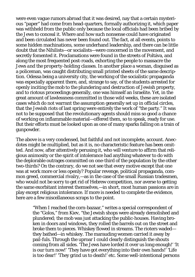were even vague rumors abroad that it was desired, nay that a certain mysterious "paper" had come from head-quarters, formally authorizing it, which paper was withheld from the public only because the local officials had been bribed by the Jews to conceal it. Where and how such nonsense could have originated and been circulated has never been found out. The fact, at all events, points to some hidden machinations, some underhand leadership, and there can be little doubt that the Nihilists—or socialists—were concerned in the movement, and secretly fomented it. Proclamations were found in the streets of Poltáva, and along the most frequented post-roads, exhorting the people to massacre the Jews *and the property-holding classes*. In another place a woman, disguised as a policeman, was caught distributing small printed sheets of the same description. Odessa being a university city, the working of the socialistic propaganda was especially apparent there, and, strange to say, of the students arrested for openly inciting the mob to the plundering and destruction of Jewish property, and to riotous proceedings generally, one was himself an Israelite. Yet, in the great amount of lawlessness committed in those wild weeks, these are isolated cases which do not warrant the assumption generally set up in official circles, that the Jewish riots of last spring were entirely the work of "the party." It was not to be supposed that the revolutionary agents should miss so good a chance of working on inflammable material—offered them, so to speak, ready for use. But their efforts must be looked upon as one of many sparks falling on a train of gunpowder.

The above is a very condensed, but faithful and not incomplete, account. Anecdotes might be multiplied, but as it is, no characteristic feature has been omitted. And now, after attentively perusing it, who will venture to affirm that religious animosity or the spirit of intolerance had anything whatever to do with the deplorable outrages committed on one-third of the population by the other two-thirds? On the contrary, do we not see that every motive *except* that one was at work more or less openly? Popular revenge, political propaganda, common greed, commercial rivalry,—as in the case of the small Russian tradesmen, who would not be sorry to get rid of Hebrew competition, nor averse to getting the same exorbitant interest themselves,—in short, most human passions are in play except religious intolerance. If more is needed to complete the evidence, here are a few miscellaneous scraps to the point.

> "When I reached the corn-bazaar," writes a special correspondent of the "Golos," from Kiev, "the Jewish shops were already demolished and plundered; the mob was just attacking the public-houses. Having broken in doors and windows, they rolled the barrels out on the street and broke them to pieces. Whiskey flowed in streams. The rioters waded they bathed—in whiskey. The marauding women carried it away by pail-fuls. Through the uproar I could clearly distinguish the shouts coming from all sides. 'The Jews have lorded it over us long enough!' 'It is our turn now!' 'They have got everything into their own hands!' 'Life is too dear!' 'They grind us to death!' etc. Some well-intentional persons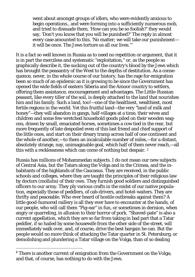went about amongst groups of idlers, who were evidently anxious to begin operations., and were forming into a sufficiently numerous mob, and tried to dissuade them, 'How can you be so foolish?' they would say, 'Don't you know that you will be punished?' The reply in almost every case amounted to this. 'No matter; we will take our punishment it will be *once*. The Jews torture us all our lives.'"

It is a fact so well known in Russia as to need no repetition or argument, that it is in part the merciless and systematic "exploitation," or, as the people so graphically describe it, *the sucking out* of the country's blood by the Jews which has brought the peasantry of the West to the depths of destitution. As a consequence, never, in the whole course of our history, has the rage for emigration been so much of an epidemic as it is growing to be since the Government has opened the wide fields of eastern Siberia and the Amoor country to settlers, offering them assistance, encouragement and advantages. The Little-Russian peasant, like every tiller of the soil, is deeply attached to the land that nourishes him and his family. Such a land, too!—one of the healthiest, wealthiest, most fertile regions in the world. Yet this fruitful land—the very "land of milk and honey"—they will abandon in gangs, half-villages at a time, their wives and children and some few wretched household goods piled on their wooden wagons, drawn by small, emaciated horses, sometimes a cow tied in the rear, but more frequently of late despoiled even of this last friend and chief support of the little ones, and start on their dreary tramp across half of one continent and the whole of another,—to them an incalculable number of miles,—for a distant, absolutely strange, nay, unimaginable goal, which half of them never reach,—all this with a recklessness which can come of nothing but despair. [2](#page-8-0)

Russia has millions of Mohammedan subjects. I do not mean our new subjects of Central Asia, but the Tatars along the Volga and in the Crimea, and the inhabitants of the highlands of the Caucasus. They are received, in the public schools and colleges, where they are taught the principles of their religious law by doctors *(mollahs)* of their own. They furnish good soldiers and distinguished officers to our army. They ply various crafts in the midst of our native population, especially those of peddlers, of cab-drivers, and hotel-waiters. They are thrifty and peaceable. Who ever heard of hostile outbreaks against them? A little good-humored raillery is all they ever have to encounter at the hands, of our people, who will call them "Pig-ear" in fun, or sometimes in derision, when angry or quarreling, in allusion to their horror of pork. "Shaved-pate" is also a current appellation, which they are so far from taking in bad part that a Tatar peddler, if so hailed by some housewife from the other side of the street, will immediately walk over, and, of course, drive the best bargain he can. But the people would no more think of attacking the Tatar quarter in St. Petersburg, or demolishing and plundering a Tatar village on the Volga, than of so dealing

<span id="page-8-0"></span>**<sup>2</sup>** There is another current of emigration from the Government on the Volga; and that, of course, has nothing to do with the Jews.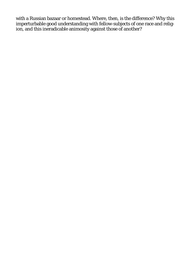with a Russian bazaar or homestead. Where, then, is the difference? Why this imperturbable good understanding with fellow-subjects of one race and religion, and this ineradicable animosity against those of another?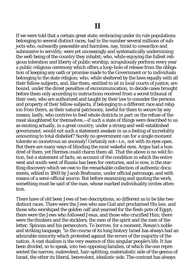If we were told that a certain great state, embracing under its rule populations belonging to several distinct races, had in the number several millions of subjects who, outwardly peaceable and harmless, nay, timid to cowardice and submissive to servility, were yet unceasingly and systematically undermining the well-being of the country they inhabit; who, while enjoying the fullest religious toleration and liberty of public worship, scrupulously perform every year a public religious ceremony which offers a loop-hole of release from the obligation of keeping any oath or promise made to the Government or to individuals belonging to the state religion; who, while sheltered by the laws equally with all their fellow-subjects, and, like them, entitled to sit in local courts of justice, are bound, under the direst penalties of excommunication, to decide cases brought before them only according to instructions received from a secret tribunal of their own; who are authorized and taught by their law to consider the persons and property of their fellow-subjects, if belonging to a different race and religion from theirs, as their natural patrimony, lawful for them to secure by any means; lastly, who contrive to feed whole districts in part on the refuse of the meat slaughtered for themselves,—if such a state of things were described to us as existing actually, in a great country, under a strong and well-established government, would not such a statement awaken in us a feeling of incredulity amounting to total disbelief? Surely no government can for a single moment tolerate so monstrous an anomaly! Certainly not—*i.e.*, not with its eyes open. But there are many ways of blinding the most wakeful eyes. Argus had a hundred of them, yet Hermes could charm them all. That the above is no wild fiction, but a statement of facts, an account of the condition in which the entire west and south-west of Russia has been for centuries, and is now, is the startling discovery which we owe to the remarkable collection of authentic documents, edited in 1869 by Jacob Brafmann, under official patronage, and with means of a semi-official source. But before examining and quoting the work, something must be said of the man, whose marked individuality invites attention.

There have of old been Jews of two descriptions, so different as to be like two distinct races. There were the Jews who saw God and proclaimed His law, and those who worshiped the golden calf and yearned for the flesh-pots of Egypt; there were the Jews who followed Jesus, and those who crucified Him; there were the thinkers and the sticklers; the men of the spirit and the men of the letter; Spinoza and his persecutors. To borrow, for a moment, Renan's noble and striking language, "in the course of its long history Israel has always had an admirable minority which protested against the errors of the majority of the nation. A vast dualism is the very essence of this singular people's life. It has been divided, so to speak, into two opposing families, of which the one represented the narrow, malevolent, hair-splitting, materialistic side of the genius of Israel, the other its liberal, benevolent, idealistic side. The contrast has always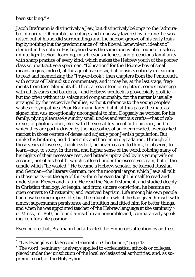#### been striking." [3](#page-11-0)

Jacob Brafmann is distinctively a Jew, but distinctively belongs to the "admirable minority." Of humble parentage, and in no way favored by fortune, he was raised out of his sordid surroundings and the narrow groove of his early training by nothing but the predominance of "the liberal, benevolent, idealistic" element in his nature. His boyhood was the same unenviable round of useless, unintelligent school learning, mischievous idleness, and precocious familiarity with sharp practice of every kind, which makes the Hebrew youth of the poorer class so unattractive a specimen. "Education" for the Hebrew boy of small means begins, indeed, at the age of five or six, but consists entirely in learning to read and memorizing the "Prayer-book"; then chapters from the Pentateuch, with scraps of Talmudistic commentary, and it may be, at the last stage, fragments from the Talmud itself. Then, at seventeen or eighteen, comes marriage with all its cares and burdens,—and Hebrew wedlock is proverbially prolific, but too often without its solace and companionship, for the matter is usually arranged by the respective families, without reference to the young people's wishes or sympathies. Poor Brafmann fared but ill at this pass; the mate assigned him was exceptionally uncongenial to him. Doggedly he worked for his family, plying alternately sundry small trades and various crafts—that of cabdriver, of photographer, etc., with the versatility peculiar to his race, and to which they are partly driven by the necessities of an overcrowded, overstocked market in those centers of dense and abjectly poor Jewish population. But, unlike his brethren, he did not sink and harden in degradation. Through all those years of loveless, thankless toil, he never ceased to think, to observe, to learn—nay, to study, in the real and higher sense of the word, robbing many of his nights of their necessary rest, and bitterly upbraided by his young wife on account, not of his health, which suffered under the excessive strain, but of the candle which "he wasted." He became a Hebrew scholar, he learned Russian and German—the literary German, not the mongrel jargon which Jews all talk in those parts—at the age of thirty-four; he even taught himself to read and understand French and Latin. He read the New Testament, and studied deeply in Christian theology. At length, and from sincere conviction, he became an open convert to Christianity, and received baptism. Life among his own people had now become impossible, but the education which he had given himself with almost superhuman persistence and intuition had fitted him for better things, and when he was appointed teacher of the Hebrew language at the seminary [4](#page-11-1) of Minsk, in 1860, he found himself in an honorable and, comparatively speaking, comfortable position.

Even before that, Brafmann had attracted the Emperor's attention by address-

<span id="page-11-0"></span>**<sup>3</sup> "**Les Évangiles et la Seconde Generation Chretienne," page 12.

<span id="page-11-1"></span>**<sup>4</sup>** The word "seminary" is always applied to ecclesiastical schools or colleges, placed under the jurisdiction of the local ecclesiastical authorities, and, as supreme resort, of the Holy Synod.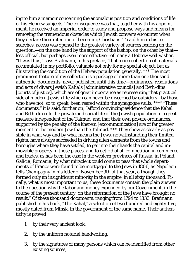ing to him a memoir concerning the anomalous position and conditions of life of his Hebrew subjects. The consequence was that, together with his appointment, he received an imperial order to study and propose ways and means for removing the tremendous obstacles which Jewish converts encounter when they declare their intention of becoming Christians. To aid him in his researches, access was opened to the greatest variety of sources bearing on the question,—on the one hand by the support of the bishop, on the other by that less official, but perhaps even more effective—of many a Hebrew well-wisher. "It was thus," says Brafmann, in his preface, "that a rich collection of materials accumulated in my portfolio, valuable not only for my special object, but as illustrating the condition of the Hebrew population generally. \*\*\* The most prominent feature of my collection is a package of more than one thousand authentic, documents, never published until this time—ordinances, resolutions, and acts of divers Jewish *Kahals* [administrative councils] and *Beth-dins* [courts of justice], which are of great importance as representing that practical side of modern Jewish life which can never be discerned by outsiders—by those who have not, so to speak, been reared within the synagogue walls. \*\*\*" "These documents," it is said, further on, "afford convincing evidence that the Kahal and Beth-din rule the private and social life of the Jewish population in a great measure independent of the Talmud, and that their own private ordinances, supported by the penalty of the *kherem* [excommunication] are of far greater moment to the modern Jew than the Talmud. \*\*\* They show as clearly as possible in what way and by what means the Jews, notwithstanding their limited rights, have always succeeded in driving alien elements from the towns and boroughs where they have settled, to get into their hands the capital and immovable property in those places, and to get rid of all competition in commerce and trades, as has been the case in the western provinces of Russia, in Poland, Galicia, Romania; by what miracle it could come to pass that whole departments of France were found to be mortgaged to the Jews in 1806, as Napoleon tells Champagny in his letter of November 9th of that year, although they formed only an insignificant minority in the empire, in all sixty thousand. Finally, what is most important to us, these documents contain the plain answer to the question why the labor and money expended by our Government, in the course of the present century, on the reformation of the Jews have brought no result." Of these thousand documents, ranging from 1794 to 1833, Brafmann published in his book, "The Kahal," a selection of two hundred and eighty-five, mostly dated from Minsk, in the government of the same name. Their authenticity is proved

- 1. by their very ancient look;
- 2. by the uniform notarial handwriting;
- 3. by the signatures of many persons which can be identified from other existing sources;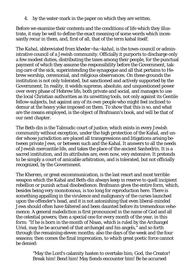4. by the water-mark in the paper on which they are written.

Before we examine their contents and the conditions of life which they illustrate, it may be well to define the exact meaning of some words which incessantly recur in them, and, first of all, that of the term kahal itself.

The *Kahal*, abbreviated from *kheder~ha~kahal*, is the town-council or administrative council of a Jewish community. Officially it purports to discharge only a few modest duties, distributing the taxes among their people, for the punctual payment of which they assume the responsibility before the Government, taking care of the sick, superintending the synagogue and all that pertains to Hebrew worship, ceremonial, and religious observances. On these grounds the institution is not only tolerated, but sanctioned and actively supported by the Government. In reality, it wields supreme, absolute, and unquestioned power over every phase of Hebrew life, both private and social, and manages to use the local Christian authorities as its unwitting tools, not only against its Gentile fellow-subjects, but against any of its own people who might feel inclined to demur at the heavy yoke imposed on them. To show that this is so, and what are the means employed, is the object of Brafmann's book, and will be that of our next chapter.

The *Beth-din* is the Talmudic court of justice, which exists in every Jewish community without exception, under the high protection of the Kahal, and under whose jurisdiction are placed all transgressions and litigations arising between private Jews, or between such and the Kahal. It answers to all the needs of Jewish mercantile life, and takes the place of the ancient Sanhedrin. It is a sacred institution, and its attributes are, even now, very extensive. It pretends to be simply a court of amicable arbitration, and is tolerated, but not officially recognized, by the Government.

The *Kherem*, or great excommunication, is the last resort and most terrible weapon which the Kahal and Beth-din always keep in reserve to quell incipient rebellion or punish actual disobedience. Brafmann gives the entire form, which, besides being very monotonous, is too long for reproduction here. There is something appalling in the virulence and malignancy of the curses launched upon the offender's head, and it is not astonishing that even liberal-minded Jews should often have faltered and been daunted before its tremendous vehemence. A general malediction is first pronounced in the name of God and all the celestial powers; then a special one for every month of the year, in this form: "If he is born in the month of Nisan, which is ruled by the Archangel Uriel, may he be accursed of that archangel and his angels," and so forth through the remaining eleven months; also the days of the week and the four seasons; then comes the final imprecation, to which great poetic force cannot be denied:

> "May the Lord's calamity hasten to overtake him; God, the Creator! Break him! Bend him! May fiends encounter him! Be he accursed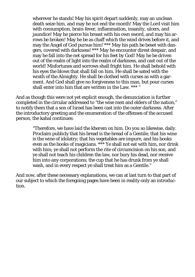wherever he stands! May his spirit depart suddenly, may an unclean death seize him, and may he not end the month! May the Lord visit him with consumption, brain-fever, inflammation, insanity, ulcers, and jaundice! May he pierce his breast with his own sword, and may his arrows be broken! May he be as chaff which the wind drives before it, and may the Angel of God pursue him! \*\*\* May his path be beset with dangers, covered with darkness! \*\*\* May he encounter direst despair, and may he fall into the net spread for his feet by God! May he be driven out of the realm of light into the realm of darkness, and cast out of the world! Misfortunes and sorrows shall fright him. He shall behold with his eyes the blows that shall fall on him. He shall be sated with the wrath of the Almighty. He shall be clothed with curses as with a garment. And God shall give no forgiveness to this man, but pour curses shall enter into him that are written in the Law. \*\*\* "

And as though this were not yet explicit enough, the denunciation is further completed in the circular addressed to "the wise men and elders of the nation," to notify them that a son of Israel has been cast into the outer darkness. After the introductory greeting and the enumeration of the offenses of the accused person, the kahal continues:

> "Therefore, we have laid the *kherem* on him. Do you so likewise, daily. Proclaim publicly that his bread is the bread of a Gentile; that his wine is the wine of idolatry; that his vegetables are impure, and his books even as the books of magicians. \*\*\* Ye shall not eat with him, nor drink with him; ye shall not perform the rite of circumcision on his son, and ye shall not teach his children the law, nor bury his dead, nor receive him into any corporations; the cup that he has drunk from ye shall wash, and in every respect ye shall treat him as a Gentile."

And now, after these necessary explanations, we can at last turn to that part of our subject to which the foregoing pages have been in reality only an introduction.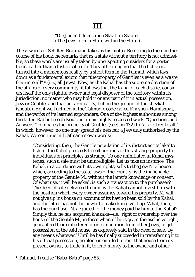### III

#### *"Die Juden bilden einen Staat im Staate." (The Jews form a State within the State.)*

These words of Schiller, Brafmann takes as his motto. Referring to them in the course of his book, he remarks that as a state without a territory is not admissible, so these words are usually taken by unsuspecting outsiders for a poetic figure rather than a historical truth. They little imagine that the fiction is turned into a momentous reality by a short item in the Talmud, which lays down as a fundamental axiom that "*the property of Gentiles is even as a waste, free unto all*" [5](#page-16-0) (*i.e.*, all Jews). Now, as the Kahal has the supreme direction of the affairs of every community, it follows that the Kahal of each district considers itself the only rightful owner and legal disposer of the territory within its jurisdiction, no matter who may hold it or any part of it in actual possession, Jew or Gentile, and that not arbitrarily, but on the ground of the *khezkatishoub*, a right well defined in the Talmudic code called *Khoshen-Hamishpat*, and the works of its learned expounders. One of the highest authorities among the latter, Rabbi Joseph Kouloun, in his highly respected work, "Questions and Answers," compares the property of Gentiles (section 132) to "a lake free to all," in which, however, no one may spread his nets but a Jew duly authorized by the Kahal. We continue in Brafmann's own words:

> "Considering, then, the Gentile population of its district as 'its lake' to fish in, the Kahal proceeds to sell portions of this strange property to individuals on principles as strange. To one uninitiated in Kahal mysteries, such a sale must be unintelligible. Let us take an instance. The Kahal, in accordance with its own rights, sells to the Jew N. a house, which, according to the state laws of the country, is the inalienable property of the Gentile M., without the latter's knowledge or consent. Of what use, it will be asked, is such a transaction to the purchaser? The deed of sale delivered to him by the Kahal cannot invest him with the position which every owner assumes toward his property. M. will not give up his house on account of its having been sold by the Kahal, and the latter has not the power to make him give it up. What, then, has the purchaser N. acquired for the money paid by him to the Kahal? Simply this: he has acquired *khazaka—i.e.*, right of ownership over the house of the Gentile M., in force whereof he is given the exclusive right, guaranteed from interference or competition from other Jews, to get possession of the said house, as expressly said in the deed of sale, 'by any means whatever.' Until he has finally succeeded in transferring it to his official possession, he alone is entitled to rent that house from its present owner, to trade in it, to lend money to the owner and other

<span id="page-16-0"></span>**<sup>5</sup>** Talmud, Treatise "Baba-Batra" page 55.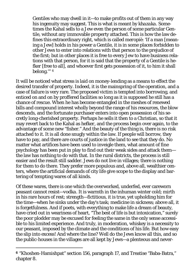Gentiles who may dwell in it—to make profits out of them in any way his ingenuity may suggest. This is what is meant by *khazaka*. Sometimes the Kahal sells to a Jew even *the person* of some particular Gentile, without any immovable property attached. This is how the law defines this extraordinary right, which is called *meropiè*: 'If a man [meaning a Jew] holds in his power a Gentile, it is in some places forbidden to other Jews to enter into relations with that person to the prejudice of the first; but in other places it is free to every Jew to have business relations with that person, for it is said that the property of a Gentile is *hefker* [free to all], and whoever first gets possession of it, to him it shall belong.'" [6](#page-17-0)

It will be noticed what stress is laid on money-lending as a means to effect the desired transfer of property. Indeed, it is the mainspring of the operation, and a case of failure is very rare. The proposed victim is tempted into borrowing, and enticed on and on by proffered facilities so long as it is supposed he still has a chance of rescue. When he has become entangled in the meshes of renewed bills and compound interest wholly beyond the range of his resources, the blow descends, and the fortunate purchaser enters into open possession of his secretly long-cherished property. Perhaps he sells it then to a Christian, so that it may revert back to the Kahal as *hefker*, and the process begin over again, to the advantage of some new "fisher." And the beauty of the thing is, there is no risk attached to it. It is all done snugly within the law. If people will borrow, they have to pay, and there are courts of justice in the land to see that they do. No matter what artifices have been used to inveigle them, what amount of fine psychology has been put in play to find out their weak sides and attack them the law has nothing to do with that. In the rural districts, the process is still easier and the result still sadder. Jews do not live in villages; there is nothing for them to do there. They prefer more populous and, above all, wealthier centers, where the artificial demands of city life give scope to the display and bartering of tempting wares of all kinds.

Of these wares, there is one which the overworked, underfed, ever careworn peasant cannot resist—*vodka*. It is warmth in the inhuman winter cold; mirth in his rare hours of rest; strength—fictitious, it is true, yet upholding him for the time—when he sinks under the day's task; medicine in sickness; above all, it is forgetfulness. And if poets, with everything to make life a dream of beauty, have cried out in weariness of heart, "The best of life is but intoxication," surely the poor plodder may be excused for feeling the same in the only sense accessible to his limited experience. And truly, in moderation, whiskey is a necessity to our peasant, imposed by the climate and the conditions of his life. But how easy the slip into excess! And where the line? Well do the Jews know all this, and so the public-houses in the villages are all kept by Jews—a plenteous and never-

<span id="page-17-0"></span>**<sup>6</sup>** "Khoshen-Hamishpat" section 156, paragraph 17, and Treatise "Baba-Batra," chapter 8.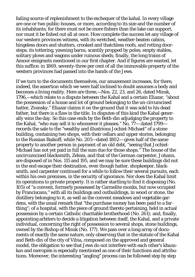failing source of replenishment to the exchequer of the kahal. In every village are one or two public-houses, or more, according to its size and the number of its inhabitants; for there must not be more fishers than the lake can support, nor must it be fished out all at once. How complete the success let any village of our western provinces witness, with its wretched, weather-beaten cabins, hingeless doors and shutters, crooked and thatchless roofs, and rotting doorsteps; its tottering, yawning barns, scantily propped by poles; empty stables, solitary plows and wagons under ruinous sheds; finally, the long trains of Amoor emigrants mentioned in our first chapter. And if figures are wanted, let this suffice: in 1869, seventy-three per cent of all the immovable property of the western provinces had passed into the hands of the Jews.

If we turn to the documents themselves, our amazement increases, for there, indeed, the assertion which we were half inclined to doubt assumes a body and becomes a living reality. Here are three,—Nos. 22, 23, and 26, dated Minsk, 1796,—which relate to a dispute between the Kahal and a certain Eliazar, "about the possession of a house and lot of ground belonging to the un-circumcised hatter, Zvansky." Eliazar claims it on the ground that it was sold to his dead father, but there is a flaw in the title. In disputes of this kind the Kahal generally wins the day. So this case ends by the Beth-din adjudging the property to the Kahal, "who may sell it to whomever it pleases." No, 77— dated 1799 records the sale to the "wealthy and illustrious Jochiel-Michael" of a stone building, containing two shops, with their cellars and upper stories, belonging to the Russian Baikoff; while No. 205—dated 1802— gives half of the same property to another person in payment of an old debt, "seeing that Jochiel-Michael has not yet paid in full the sum due for those shops." The house of the uncircumcised blacksmith, Zeleza, and that of the German carpenter, Johann, are disposed of in Nos. 115 and 195, and we may be sure these buildings did not in the end escape their destination, even though hatter, shopkeeper, blacksmith, and carpenter continued for a while to follow their several pursuits, each within his own premises, in the security of ignorance. Nor does the Kahal limit its operations to private property. It is rather startling to find it disposing (No. 105) of "a convent, formerly possessed by Carmelite monks, but now occupied by Franciscans," with all its buildings and outbuildings, in wood or stone, the distillery belonging to it, as well as the convent meadows and vegetable gardens, with the usual remark that "the purchase money has been paid to a farthing"; of a hospital, with the piece of ground thereto pertaining, held in actual possession by a certain Catholic charitable brotherhood (No. 261); and, finally, appointing arbiters to decide a litigation between itself, the Kahal, and a private individual, concerning the right of possession to several shops, stone buildings, owned by the Bishop of Minsk (No. 177). We pass over a long array of documents of exactly the same nature, only observing that in the statute of the Kahal and Beth-din of the city of Vilna, composed on the approved and general model, the obligation to see that Jews do not interfere with each other's *khazakas* and *meropiès* is especially mentioned as one of their functions and attributions. Moreover, the interesting "angling" process can be followed step by step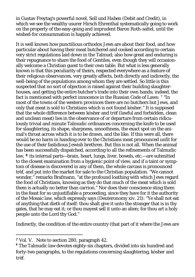in Gustav Freytag's powerful novel, *Soll und Haben* (Debit and Credit), in which we see the wealthy usurer Hirsch Ehrenthal systematically going to work on the property of the easy-going and imprudent Baron Roth-sattel, until the wished-for consummation is happily achieved.

It is well known how punctilious orthodox Jews are about their food, and how particular about having their meat butchered and cooked according to certain very strict regulations laid down in the Talmud; also how great and enduring is their repugnance to share the food of Gentiles, even though they will occasionally welcome a Christian guest to their own table. But what is less generally known is that this peculiarity of theirs, respected everywhere as a feature of their religious observances, very greatly affects, both directly and indirectly, the well-being of the populations among whom they are settled. So little is this suspected that no sort of objection is raised against their building slaughterhouses, and getting the entire butcher's trade into their own hands; indeed, the fact is mentioned with perfect innocence in the Russian Code of Laws: [7](#page-19-0) "In most of the towns of the western provinces there are no butchers but Jews, and only that meat is sold to Christians which is not found *kòsher*." It is supposed that the whole difference between *kòsher* and *trèf* (lawful and forbidden, clean and unclean meat) lies in the observance of or departure from certain ridiculously trivial and minute Talmudic ordinances concerning the knife to be used for slaughtering, its shape, sharpness, smoothness, the exact spot on the animal's throat across which it is to be drawn, and the like. If this were all, there would be no harm in handing over to the Christians meat pronounced unfit for the use of their fastidious Jewish brethren. But this is not all. When the animal has been successfully dispatched, according to all the refinements of Talmudic law, **[8](#page-19-1)** its internal parts—brain, heart, lungs, liver, bowels, etc.—are submitted to the closest examination from a hygienic point of view, and if a taint or symptom of disease is discovered in any of them, the whole carcass is pronounced trèf, and put into the market for sale to the Christian population. "We cannot wonder," remarks Brafmann, "at the profound loathing with which Jews regard the food of Christians, knowing as they do that much of the meat which is sold them is actually no better than carrion." Nor does their conscience sting them in the feast for so unjustifiable a proceeding, since they have for it the authority of the Mosaic law, which expressly says (Deuteronomy xiv. 21): "Ye shall not eat of anything that dieth of itself: thou shalt give it unto the stranger that is in thy gates, that he may eat it; or thou mayest sell it unto an alien; for thou art a holy people unto the Lord thy God."

Indirectly, the condition of the entire country (that part of it where the Jews are

<span id="page-19-0"></span>**<sup>7</sup>** Vol. V. Note to section 280, paragraph 42.

<span id="page-19-1"></span>**<sup>8</sup>** The Talmudic law devotes eighty-six chapters, divided into six hundred and forty-two paragraphs, to the regulations concerning slaughtering, *kòsher* and *trèf*.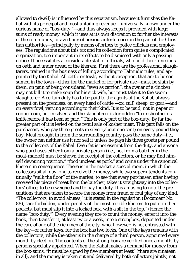allowed to dwell) is influenced by this separatism, because it furnishes the Kahal with its principal and most unfailing revenue,—universally known under the curious name of "box-duty,"—and thus always keeps it provided with large sums of ready money, which it uses at its own discretion to further the interests of the community, or avert any obnoxious interference on the part of the Christian authorities—principally by means of bribes to police officials and employees. The regulations about this tax and its collection form quite a complicated organization, too important in its effects to be dismissed with only a passing notice. It necessitates a considerable staff of officials, who hold their functions on oath and under dread of the *kherem*. First there are the professional slaughterers, trained in the business of killing according to Talmudic rules, and appointed by the Kahal. All cattle or fowls, without exception, that are to be consumed in the town—either for the market or for private use—must be slain by them, on pain of being considered "even as carrion"; the owner of a chicken may not kill it to make soup for his sick wife, but must take it to the sworn slaughterer. A certain duty has to be paid to the agents of the Kahal, always present on the premises, on every head of cattle,—ox, calf, sheep, or goat,—and on every fowl, varying according to their kind. It is to be paid, not in paper or copper coin, but in silver, and the slaughterer is forbidden "to unsheathe his knife before it has been so paid." This is only part of the box-duty. By far the greater part of it is levied on the retail sale of *kòsher* meat. This part falls on the purchasers, who pay three groats in silver (about one cent) on every pound they buy. Meat brought in from the surrounding country pays the same duty—*i.e.*, the owner can neither use it nor sell it unless he pays his three groats per pound to the collectors of the Kahal. Even fat is not exempt from the duty, and anyone who purchases either from a private person (*i.e.*, not from a butcher in the meat-market) must be shown the receipt of the collectors, or he may find himself devouring "carrion," "food unclean as pork," and come under the canonical *kherem* in consequence. There is in the market a special room, in which the collectors sit all day long to receive the money, while two superintendents continually "walk the floor" of the market, to see that every purchaser, after having received his piece of meat from the butcher, takes it straightway into the collectors' office, to be reweighed and to pay the duty. It is amusing to note the precautions that are taken to secure the money from fraud or foul play of any kind. "The collectors, to avoid abuses," it is stated in the regulation (Document No. 88), "are forbidden, under penalty of the most terrible *kherem* to put it in their pockets, but must slip it into a locked box, with a slit in the top." (Hence the name "box-duty.") Every evening they are to count the money, enter it into the book, then transfer it, at least twice a week, into a strongbox, deposited under the care of one of the rich men of the city, who, however, is not entrusted with the key—or rather keys, for the box has two locks. One of the keys remains with the collectors, while the other is in the charge of a third person, appointed every month by election. The contents of the strong-box are verified once a month, by persons specially appointed. When the Kahal makes a demand for money from the box-sums, "it must be signed by five members at least" (there are nineteen in all), and the money is taken out and delivered by both collectors jointly, not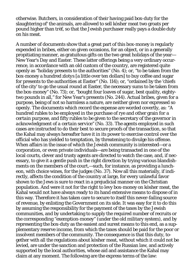otherwise. Butchers, in consideration of their having paid box-duty for the slaughtering of' the animals, are allowed to sell *kòsher* meat two groats per pound higher than *trèf*, so that the Jewish purchaser really pays a double duty on his meat.

A number of documents show that a great part of this box-money is regularly expended in bribes, either on given occasions, for an object, or in a generally propitiating manner, as gratuitous gifts on the two great holidays of the year— New Year's Day and Easter. These latter offerings being a very ordinary occurrence, in accordance with an old custom of the country, are registered quite openly as "holiday presents to the authorities" (No. 4); or, "to be taken from the box-money a hundred *zlotys* [a little over ten dollars] to buy coffee and sugar for presents to the authorities at Easter" (No. 114); or, "ordained by the 'chiefs of the city' to go the usual round at Easter, the necessary sums to be taken from the box-money" (No. 73); or, "bought four loaves of sugar, best quality, eightytwo pounds in all," for New Year's presents (No. 244). Actual bribes, given for a purpose, being of not so harmless a nature, are neither given nor expressed so openly. The documents which record the expense are worded covertly, as: "A hundred rubles to be employed in the purchase of rye and other grain *for a certain purpose*, and fifty rubles to be given to the secretary of the governor *in acknowledgment of a certain service*" (No. 33). The agents employed in such cases are instructed to do their best to secure proofs of the transaction, so that the Kahal may always hereafter have it in its power to exercise control over the official who has yielded to temptation, by threatening to divulge his offense. When affairs in the issue of which the Jewish community is interested—or a corporation, or even private individuals—are being transacted in one of the local courts, clever and trusty agents are directed to watch the case, and, if necessary, to give it a gentle push in the right direction by trying various blandishments on the members of the court,—such, for instance, as providing a luncheon, with choice wines, for the judges (No. 37). Now all this materially, if indirectly, affects the condition of the country at large, for every unlawful favor shown to the Jews is sure to react in a prejudicial manner on the Christian population. And were it not for the right to levy box-money on *kòsher* meat, the Kahal would not have always ready to its hand extensive means to dispose of in this way. Therefore it has taken care to secure to itself this never-failing source of revenue, by enlisting the Government on its side. It was easy for it to do this by assuming the responsibility for the payment of the taxes by the Jewish communities, and by undertaking to supply the required number of recruits or the corresponding "exemption-money" (under the old military system), and by representing the box-duty as the easiest and surest means to this end, as a supplementary reserve income, from which the taxes should be paid for the poor or insolvent members of the community. The consequence is that this duty, together with all the regulations about *kòsher* meat, without which it could not be levied, are under the sanction and protection of the Russian law, and actively supported by the local authorities, whose aid and assistance the Kahal may claim at any moment. The following are the express terms of the law: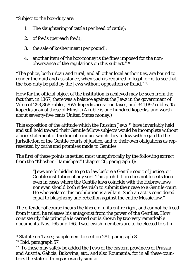"Subject to the box-duty are:

- 1. The slaughtering of cattle (per head of cattle);
- 2. of fowls (per each fowl);
- 3. the sale of kosher meat (per pound);
- 4. another item of the box-money is the fines imposed for the nonobservance of the regulations on this subject." [9](#page-22-0)

"The police, both urban and rural, and all other local authorities, are bound to render their aid and assistance, when such is required in legal form, to see that the box-duty be paid by the Jews without opposition or fraud." [10](#page-22-1)

How far the official object of the institution is achieved may be seen from the fact that, in 1867, there was a balance against the Jews in the government of Vilno of 293,868 rubles, 36½ kopecks arrear on taxes, and 341,097 rubles, 15 kopecks against those of Minsk. (A ruble is one hundred kopecks, and worth about seventy-five cents United States money.)

This exposition of the attitude which the Russian Jews [11](#page-22-2) have invariably held and still hold toward their Gentile fellow-subjects would be incomplete without a brief statement of the line of conduct which they follow with regard to the jurisdiction of the Gentile courts of justice, and to their own obligations as represented by oaths and promises made to Gentiles.

The first of these points is settled most unequivocally by the following extract from the "*Khoshen-Hamishpat*" (chapter 26, paragraph 1):

> "Jews are forbidden to go to law before a Gentile court of justice, or Gentile institution of any sort. This prohibition does not lose its force even in cases where the Gentile laws coincide with the Hebrew laws, nor even should both sides wish to submit their case to a Gentile court. He who violates this prohibition is a villain. Such an act is considered equal to blasphemy and rebellion against the entire Mosaic law."

The offender of course incurs the *kherem* in its entire rigor, and cannot be freed from it until he releases his antagonist from the power of the Gentiles. How consistently this principle is carried out is shown by two very remarkable documents, Nos. 165 and 166. Two Jewish members are to be elected to sit in

<span id="page-22-0"></span>**<sup>9</sup>** Statute on Taxes; supplement to section 281, paragraph 8.

<span id="page-22-1"></span>**<sup>10</sup>** *Ibid*, paragraph 57.

<span id="page-22-2"></span>**<sup>11</sup>** To these may safely be added the Jews of the eastern provinces of Prussia and Austria, Galicia, Bukovina, etc., and also Roumania, for in all these countries the state of things is exactly similar.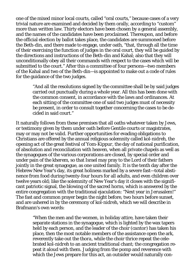one of the mixed minor local courts, called "oral courts," because cases of a very trivial nature are examined and decided by them orally, according to "custom" more than written law. Thirty electors have been chosen by a general assembly, and the names of the candidates have been proclaimed. Thereupon, and before the official election by ballot takes place, the candidates are summoned before the Beth-din, and there made to engage, under oath, "that, through all the time of their exercising the function of judges in the oral court, they will be guided by the directions and instructions of the Beth-din and Kahal; also that they will unconditionally obey all their commands with respect to the cases which will be submitted to the court." After this a committee of four persons—two members of the Kahal and two of the Beth-din—is appointed to make out a code of rules for the guidance of the two judges.

> "And all the resolutions signed by the committee shall be by said judges carried out punctually during a whole year. All this has been done with the common consent, in accordance with the laws and ordinances. At each sitting of the committee one of said two judges must of necessity be present, in order to consult together concerning the cases to be decided in said court."

It naturally follows from these premises that all oaths whatever taken by Jews, or testimony given by them under oath before Gentile courts or magistrates, may or may not be valid. Further opportunities for evading obligations to Christians are offered by the annual religious solemnity called *kol-nidreh*, the opening act of the great festival of *Yom-Kippur*, the day of national purification, of absolution and reconciliation with heaven, when all private chapels as well as the synagogues of the various corporations are closed, by special order and under pain of the *kherem*, so that Israel may pray to the Lord of their fathers jointly in the great synagogue, as one united family. It is the tenth day after the Hebrew New Year's day, its great holiness marked by a severe fast—total abstinence from food during twenty-four hours for all adults, and even children over twelve years old; like the solemnity of New Year's day it closes with the significant patriotic signal, the blowing of the sacred horns, which is answered by the entire congregation with the traditional ejaculation: "Next year in Jerusalem!" The fast and common prayer begin the night before, two hours before sunset, and are ushered in by the ceremony of *kol-nidreh*, which we will describe in Brafmann's own words:

> "When the men and the women, in holiday attire, have taken their separate stations in the synagogue, which is lighted by the wax tapers held by each person, and the leader of the choir (*cantor*) has taken his place, then the most notable members of the assistance open the ark, reverently take out the *thora*, while the choir thrice repeat the celebrated *kol-nidreh* to an ancient traditional chant; the congregation repeat it aloud with them. Judging from the pomp and reverence with which the Jews prepare for this act, an outsider would naturally con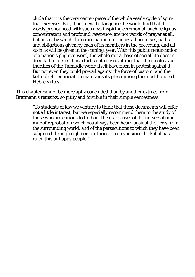clude that it is the very center-piece of the whole yearly cycle of spiritual exercises. But, if he knew the language, he would find that the words pronounced with such awe-inspiring ceremonial, such religious concentration and profound reverence, are not words of prayer at all, but an act by which the entire nation renounces all promises, oaths, and obligations given by each of its members in the preceding, and all such as will be given in the coming, year. With this public renunciation of a nation's plighted word, the whole moral base of social life does indeed fall to pieces. It is a fact so utterly revolting, that the greatest authorities of the Talmudic world itself have risen in protest against it. But not even they could prevail against the force of custom, and the *kol-nidreh* renunciation maintains its place among the most honored Hebrew rites."

This chapter cannot be more aptly concluded than by another extract from Brafmann's remarks, so pithy and forcible in their simple earnestness:

> "To students of law we venture to think that these documents will offer not a little interest; but we especially recommend them to the study of those who are curious to find out the real causes of the universal murmur of reprobation which has always been heard against the Jews from the surrounding world, and of the persecutions to which they have been subjected through eighteen centuries—*i.e.*, ever since the kahal has ruled this unhappy people."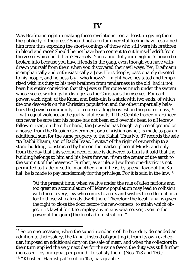Was Brafmann right in making these revelations—or, at least, in giving them the publicity of the press? Should not a certain merciful feeling have restrained him from thus exposing the short-comings of those who still were his brethren in blood and race? Should he not have been content to cut himself adrift from the vessel which held them? Scarcely. You cannot let your neighbor's house be broken into because you have friends in the gang, even though you have withdrawn yourself from them when you discovered their evil ways. Yet, Brafmann is emphatically and enthusiastically a Jew. He is deeply, passionately devoted to his people, and he possibly—who knows?—might have hesitated and temporized with his duty to his new brethren from tenderness to the old, had it not been his entire conviction that the Jews suffer quite as much under the system whose secret workings he divulges as the Christians themselves. For each power, each right, of the Kahal and Beth-din is a stick with two ends, of which the one descends on the Christian population and the other impartially belabors the Jewish community,—of course falling heaviest on the poorer mass, [12](#page-26-0) —with equal violence and equally fatal results. If the Gentile trader or artificer can never be sure that his house has not been sold over his head to a Hebrew fellow-citizen, on the other hand, the Jew who has bought a piece of ground or a house, from the Russian Government or a Christian owner, is made to pay an additional sum for the same property to the Kahal. Thus No. 87 records the sale "to Rabbi Khaim, son of Rabbi Isaac, Levite," of the right of ownership to a stone building, constructed by him on the market-place of Minsk, and only from the day that this second deed of sale is delivered to him is it said that the building belongs to him and his heirs forever, "from the center of the earth to the summit of the heavens." Further, as a rule, a Jew from one district is not permitted to trade or settle in another, and if he is, by special favor of the Ka-hal, he is made to pay handsomely for the privilege. For it is said in the law: <sup>[13](#page-26-1)</sup>

"At the present time, when we live under the rule of alien nations and too great an accumulation of Hebrew population may lead to collision with them, every Jew who comes to a city and wishes to settle in it, is a foe to those who already dwell there. Therefore the local kahal is given the right to close the door before the new-comers, to attain which object it is lawful for it to employ any means whatsoever, even to the power of the *goïm* [the local administration]."

<span id="page-26-1"></span><span id="page-26-0"></span>**<sup>12</sup>** So on one occasion, when the superintendents of the box-duty demanded an addition to their salary, the Kahal, instead of granting it from its own exchequer, imposed an additional duty on the sale of meat, and when the collectors in their turn applied the very next day for the same favor, the duty was still further increased—by one groat per pound—to satisfy them. (Nos. 173 and 176.) **13 "**Khoshen-Hamishpat" section 156, paragraph 7.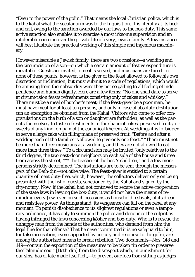"Even to the power of the *goïm*." That means the local Christian police, which is to the kahal what the secular arm was to the Inquisition. It is literally at its beck and call, owing to the sanction awarded by our laws to the box-duty. This same active sanction also enables it to exercise a most irksome supervision and an intolerable coercion over the private life of every Jewish family. A few instances will best illustrate the practical working of this simple and ingenious machinery.

However miserable a Jewish family, there are two occasions—a wedding and the circumcision of a son—on which a certain amount of festive expenditure is inevitable. Guests are invited, a meal is served, and musicians are hired. In none of these points, however, is the giver of the feast allowed to follow his own discretion or inclination, but must submit to a code of regulations, which would be amusing from their absurdity were they not so galling to all feeling of independence and human dignity. Here are a few items: "No one shall dare to serve at circumcision feasts refreshments consisting only of cakes and whiskey." There must be a meal of butcher's meat; if the feast-giver be a poor man, he must have meat for at least ten persons, and only in case of absolute destitution can an exemption be obtained from the Kahal. Visitors who come to offer congratulations on the birth of a son or daughter are forbidden, as well as the parents themselves, to taste refreshments in the shape of cakes, preserved fruits, or sweets of any kind, on pain of the canonical *kherem*. At weddings it is forbidden to serve a large cake with filling made of preserved fruit. "Before and after a wedding each of the families is allowed to give only one feast." "There must not be more than three musicians at a wedding, and they are not allowed to eat more than three times." To a circumcision may be invited "only relatives to the third degree, the two next-door neighbors on each side of the house and three from across the street, \*\*\* the teacher of the host's children," and a few more persons strictly determined. The invitations are to be sent through the messengers of the Beth-din—not otherwise. The feast-giver is entitled to a certain quantity of meat duty-free, which, however, the collectors deliver only on being presented with the list of guests, sanctioned by the Kahal and signed by the city-notary. Now, if the kahal had not contrived to secure the active cooperation of the state laws in levying the box-duty, it would not have the means of reminding every Jew, even on such occasions as household festivals, of its dread and resistless power. As things stand, its vengeance can fall on the rebel at any moment. To punish disobedience to its slightest regulations or even a temporary ordinance, it has only to summon the police and denounce the culprit as having infringed the laws concerning *kòsher* and box-duty. Who is to rescue the unhappy man from the hands of the authorities, who demand from him the legal fine for that offense? That he never committed it is no safeguard to him, for false accusation, even supported by perjury and recourse to the *goïm*, are among the *authorized* means to break rebellion. Two documents—Nos. 148 and 149—contain the exposition of the measures to be taken "in order to preserve the Talmudic court [Beth-din] from the disrespect which, in punishment for our sins, has of late made itself felt,—to prevent our foes from sitting as judges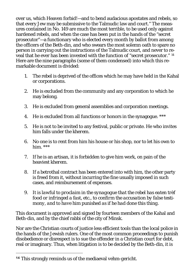over us, which Heaven forbid!—and to bend audacious apostates and rebels, so that every Jew may be submissive to the Talmudic law and court." The measures contained in No. 149 are much the most terrible, to be used only against hardened rebels, and when the case has been put in the hands of the "secret prosecutor"—a functionary who is elected every month by ballot from among the officers of the Beth-din, and who swears the most solemn oath to spare no person in carrying out the instructions of the Talmudic court, and never to reveal that he ever has been invested with the function of "secret prosecutor." [14](#page-28-0) Here are the nine paragraphs (some of them condensed) into which this remarkable document is divided:

- 1. The rebel is deprived of the offices which he may have held in the Kahal or corporations.
- 2. He is excluded from the community and any corporation to which he may belong.
- 3. He is excluded from general assemblies and corporation meetings.
- 4. He is excluded from all functions or honors in the synagogue. \*\*\*
- 5. He is not to be invited to any festival, public or private. He who invites him falls under the *kherem*.
- 6. No one is to rent from him his house or his shop, nor to let his own to him. \*\*\*
- 7. If he is an artisan, it is forbidden to give him work, on pain of the heaviest *kherem*.
- 8. If a betrothal contract has been entered into with him, the other party is freed from it, without incurring the fine usually imposed in such cases, and reimbursement of expenses.
- *9. It is lawful to proclaim in the synagogue that the rebel has eaten trèf food or infringed a fast, etc., to confirm the accusation by false testimony, and to have him punished as if he had done this thing.*

This document is approved and signed by fourteen members of the Kahal and Beth-din, and by the chief rabbi of the city of Minsk.

Nor are the Christian courts of justice less efficient tools than the local police in the hands of the Jewish rulers. One of the most common proceedings to punish disobedience or disrespect is to sue the offender in a Christian court for debt, real or imaginary. Thus, when litigation is to be decided by the Beth-din, it is

<span id="page-28-0"></span>**<sup>14</sup>** This strongly reminds us of the mediaeval *vehm-gericht*.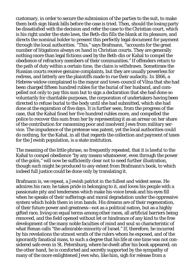customary, in order to secure the submission of the parties to the suit, to make them both sign blank bills before the case is tried. Then, should the losing party be dissatisfied with the decision and refer the case to the Christian court, which is his right under the state laws, the Beth-din fills the blank at its pleasure, and directs the nominal holder to present this perfectly legal document for payment through the local authorities. "This," says Brafmann, "accounts for the great number of litigations always on hand in Christian courts. They are generally nothing more than legal fictions used by the Beth-din or Kahal to compel the obedience of refractory members of their communities." If offenders return to the path of duty within a certain time, the claim is withdrawn. Sometimes the Russian courts receive genuine complaints, but they are usually powerless for redress, and bitterly are the plaintiffs made to rue their audacity. In 1866, a Hebrew widow complained to the mayor and town-council of Vilna that she had been charged fifteen hundred rubles for the burial of her husband, and compelled not only to pay this sum but to sign a declaration that she had done so voluntarily for charitable purposes, the corporation of undertakers having been directed to refuse burial to the body until she had submitted, which she had done at the expiration of five days. It is further seen, from the progress of the case, that the Kahal fined her five hundred rubles more, and compelled the police to recover this sum from her by representing it as an arrear on her share of the contribution for ransoming poor and insolvent Jews from military service. The impudence of the pretense was patent, yet the local authorities could do nothing, for the Kahal, in all that regards the collection and payment of taxes for the Jewish population, is a state institution.

The meaning of the little phrase, so frequently repeated, that it is lawful to the Kahal to compel obedience "by any means whatsoever, even through the power of the *goïm*," will now be sufficiently clear not to need further illustration, though such might be produced to any extent from Brafmann's book, to which indeed full justice could be done only by translating it.

Brafmann is, we repeat, a Jewish patriot in the fullest and widest sense. He admires his race; he takes pride in belonging to it, and loves his people with a passionate pity and tenderness which make his voice break and his eyes fill when he speaks of their sufferings and moral degradation under the oppressive system which holds them in iron bands. His dreams are of their regeneration, of their future power and greatness—not as a political nation, but as a highly gifted race, living on equal terms among other races, all artificial barriers being removed, and the field opened without let or hindrance of any kind to the free development of the many noble faculties of mind and soul so characteristic of what Renan calls "the admirable minority of Israel." If, therefore, he incurred by his revelations the utmost wrath of the rulers whom he exposed, and of the ignorantly fanatical mass, to such a degree that his life at one time was not considered safe even in St. Petersburg, where he dwelt after his book appeared; on the other hand, he is comforted and secretly supported by the sympathy of many of the more enlightened Jews who, like him, sigh for release from a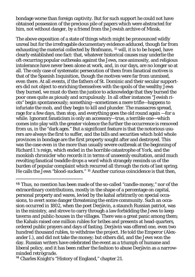bondage worse than foreign captivity. But for such support he could not have obtained possession of the precious pile of papers which were abstracted for him, not without danger, by a friend from the Jewish archive of Minsk.

The above exposition of a state of things which might be pronounced wildly unreal but for the irrefragable documentary evidence adduced, though far from exhausting the material collected by Brafmann, [15](#page-30-0) will, it is to be hoped, have clearly established one fact: that, whatever historical causes may underlie the oft-recurring popular outbreaks against the Jews, race animosity, and religious intolerance have never been alone at work, and, in our days, are no longer so at all. The only case of systematic persecution of them from fanatical motives is that of the Spanish Inquisition, though the motives were far from unmixed, even there. At all events, if the fathers of St. Dominic and their secular supporters did not object to enriching themselves with the spoils of the wealthy Jews they burned, we must do them the justice to acknowledge that they burned the poor ones quite as piously and scrupulously. In all other instances "Jewish riots" begin spontaneously; something—sometimes a mere trifle—happens to infuriate the mob, and they begin to kill and plunder. The massacres spread, rage for a few days, then stop, and everything goes the old round again —for a while. Ignorant fanaticism is only an accessory—true, a terrible one—which comes into play with the greater violence the further the occurrence is removed from us, in the "dark ages." But a significant feature is that the notorious usurers are always the first to suffer, and the bills and securities which hold whole provinces in bondage are the first property sought after and destroyed. This was the case even in the more than usually severe outbreak at the beginning of Richard I.'s reign, which ended in the horrible catastrophe of York, and the monkish chronicler who records it in terms of unseemly exultation, amid much revolting fanatical twaddle drops a word which strangely reminds us of the burden of popular complaint which recurred all through the riots of last spring. He calls the Jews "blood-suckers." <sup>[16](#page-30-1)</sup> Another curious coincidence is that then,

<span id="page-30-0"></span>**<sup>15</sup>** Thus, no mention has been made of the so-called "candle-money," nor of the extraordinary contributions, mostly in the shape of a percentage on capital, personal property and wares, levied by the kahal arbitrarily on special occasions, to avert some danger threatening the entire community. Such an occasion occurred in 1802, when the poet Derjàvin, a staunch Russian patriot, was in the ministry, and strove to carry through a law forbidding the Jews to keep taverns and public-houses in the villages. There was a great panic among them; the Kahals raised one million rubles for bribes and presents at head-quarters, ordered public prayers and days of fasting. Derjàvin was offered one, even two hundred thousand rubles, to withdraw the project. He told the Emperor (Alexander I.), and did not take the money; but others did, and the Jews won the day. Russian writers have celebrated the event as a triumph of humane and liberal policy, and it has been rather the fashion to abuse Derjàvin as a narrowminded *retrògrade*.

<span id="page-30-1"></span>**<sup>16</sup>** Charles Knight's "History of England," chapter 21.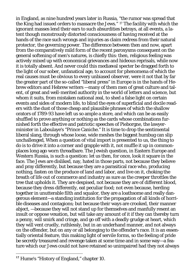in England, as nine hundred years later in Russia, "the rumor was spread that the King had issued orders to massacre the Jews." [17](#page-31-0) The facility with which the ignorant masses lend their ears to such absurdities betrays, at all events, a latent though monstrously distorted consciousness of having received at the hands of the race such wrongs and injuries as claim redress from their natural protector, the governing power. The difference between then and now, apart from the comparatively mild form of the recent paroxysms consequent on the general softening of men's natures, is chiefly this: then, religious feeling was actively mixed up with economical grievances and hideous reprisals, while now it is totally absent. And never could this mediæval specter be dragged forth to the light of our sober, unfanatical age, to account for phenomena of which the real causes must be obvious to every unbiased observer, were it not that by far the greater part of the so-called "liberal press" in Europe is in the hands of Hebrew editors and Hebrew writers —many of them men of great culture and talent, of great and well-merited authority in the world of letters and science, but whom it suits, from mistaken national zeal, to shed a false light on certain events and sides of modern life, to blind the eyes of superficial and docile readers with the dust of those cheap and plausible phrases of which the shallow orators of 1789-93 have left us so ample a store, and which can be as easily shuffled to prove anything or nothing as the cards whose combinations furnished forth the effective and patriotic speeches of Pieborgne, the lawyerminister in Laboulaye's "Prince Caniche." It is time to drop the sentimental liberal slang, through whose loose, wide meshes the biggest humbug can slip unchallenged, When a question of vital import is presented to us, the thing to do is to drive it into a corner and grapple with it, not muffle it up in commonplaces long ago worn threadbare. The Jewish question, in Eastern Europe and Western Russia, is such a question: let us then, for once, look it square in the face. The Jews are disliked, nay, hated in those parts, not because they believe and pray differently, but because they are a parasitical race who, producing nothing, fasten on the produce of land and labor, and live on it, choking the breath of life out of commerce and industry as sure as the creeper throttles the tree that upholds it. They are despised, not because they are of different blood, because they dress differently, eat peculiar food; not even because, herding together in unutterable filth and squalor, they are a loathsome and really dangerous element—a standing institution for the propagation of all kinds of horrible diseases and contagions; but because their ways are crooked, their manner abject, —because they will not stand up for themselves and manfully resent an insult or oppose vexation, but will take any amount of it if they can thereby turn a penny, will smirk and cringe, and go off with a deadly grudge at heart, which they will vent cruelly, ruthlessly, but in an underhand manner, and not always on the offender, but on any or all belonging to the offender's race. It is an essentially oriental feature, this making light of servile forms, so the feeling of pride be secretly treasured and revenge taken at some time and in some way—a feature which our Jews could not have retained so unimpaired had they not always

<span id="page-31-0"></span>**<sup>17</sup>** Hume's "History of England," chapter 10.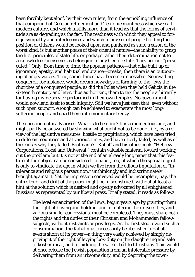been forcibly kept aloof, by their own rulers, from the ennobling influence of that compound of Grecian refinement and Teutonic manliness which we call modern culture, and which instills more than it teaches that the forms of servitude are as degrading as the fact. The readiness with which they appeal to foreign sympathy and interference, and which in any set of people holding the position of citizens would be looked upon and punished as state treason of the worst kind, is but another phase of their oriental nature—the inability to grasp the first principles of state-life, or perhaps rather their determination not to acknowledge themselves as belonging to any Gentile state. They are not "persecuted." Only, from time to time, the popular patience—that dike built up of ignorance, apathy, and habitual endurance—breaks; then there is an outpouring of angry waters. True, some things have become impossible. No invading conqueror, for instance, would dream nowadays of farming to the Jews *the churches* of a conquered people, as did the Poles when they held Galicia in the sixteenth century and later, thus authorizing them to tax the people arbitrarily for having divine service performed in their own temples. No government would now lend itself to such iniquity. Still we have just seen that, even without such open support, enough can be achieved to exasperate the most longsuffering people and goad them into momentary frenzy.

The question naturally arises: What is to be done? It is a momentous one, and might partly be answered by showing what ought *not* to be done—*i.e.*, by a review of the legislative measures, hostile or propitiating, which have been tried in different countries and at various times, and have utterly failed, as well as of the causes why they failed. Brafmann's "Kahal" and his other book, "Hebrew Corporations, Local and Universal," contain valuable material toward working out the problem; but it is not at the end of an already long paper that this feature of the subject can be considered—a paper, too, of which the special object is only to vindicate the age in which we live from the odious imputation of "intolerance and religious persecution," unthinkingly and indiscriminately brought against it. Yet the impression conveyed would be incomplete, nay, the entire tenor and drift of the paper might be misconstrued, without at least a hint at the solution which is desired and openly advocated by all enlightened Russians as represented by our liberal press. Briefly stated, it reads as follows:

> The legal emancipation of the Jews, begun years ago by granting them the right of buying and holding land, of entering the universities, and various smaller concessions, must be completed. They must share both the rights and the duties of their Christian and Mohammedan fellowsubjects, without restraints or privileges. As the first step toward such a consummation, the Kahal must necessarily be abolished, or at all events shorn of its power—a thing very easily achieved by simply depriving it of the right of levying box-duty on the slaughtering and sale of *kòsher* meat, and forbidding the sale of *trèf* to Christians. This would at once release the Jewish population from an intolerable pressure by delivering them from an irksome duty, and by depriving the town